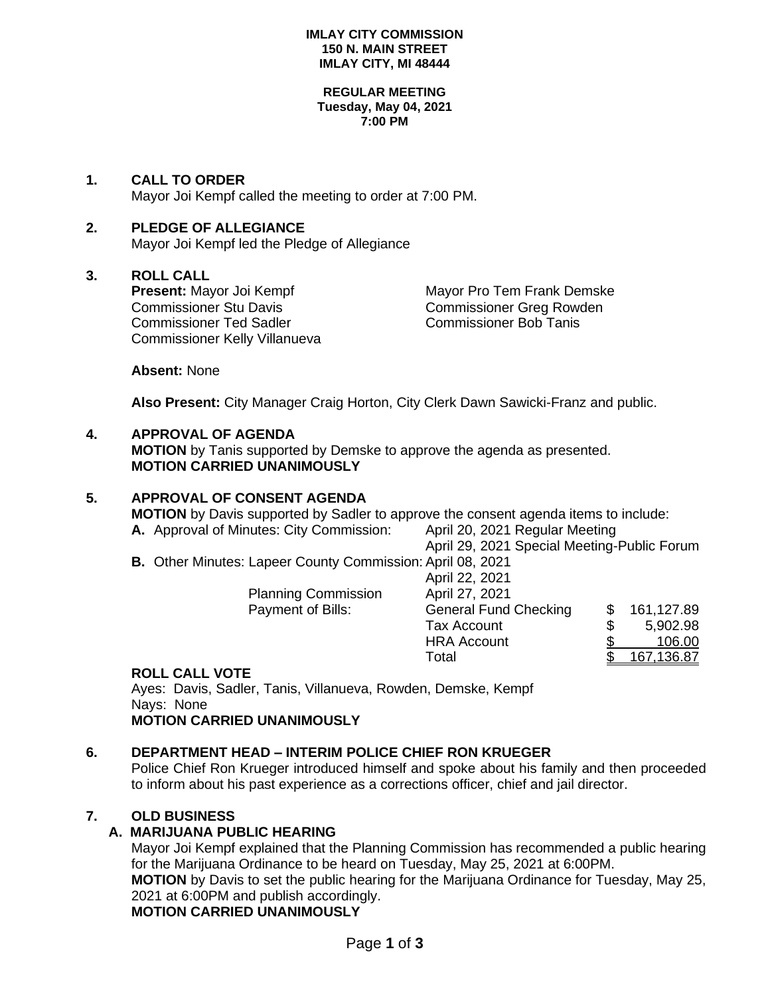#### **IMLAY CITY COMMISSION 150 N. MAIN STREET IMLAY CITY, MI 48444**

#### **REGULAR MEETING Tuesday, May 04, 2021 7:00 PM**

**1. CALL TO ORDER** Mayor Joi Kempf called the meeting to order at 7:00 PM.

# **2. PLEDGE OF ALLEGIANCE**

Mayor Joi Kempf led the Pledge of Allegiance

## **3. ROLL CALL**

**Present:** Mayor Joi Kempf Mayor Pro Tem Frank Demske Commissioner Stu Davis **Commissioner Greg Rowden** Commissioner Ted Sadler Commissioner Bob Tanis Commissioner Kelly Villanueva

**Absent:** None

**Also Present:** City Manager Craig Horton, City Clerk Dawn Sawicki-Franz and public.

## **4. APPROVAL OF AGENDA**

**MOTION** by Tanis supported by Demske to approve the agenda as presented. **MOTION CARRIED UNANIMOUSLY**

# **5. APPROVAL OF CONSENT AGENDA**

**MOTION** by Davis supported by Sadler to approve the consent agenda items to include:

**A.** Approval of Minutes: City Commission: April 20, 2021 Regular Meeting

 April 29, 2021 Special Meeting-Public Forum **B.** Other Minutes: Lapeer County Commission: April 08, 2021

| $1.11$ at $2.5$ at $2.5$ at $1.7$ and $2.5$ and $2.5$ and $2.5$ and $2.5$ and $2.5$ and $2.5$ and $2.5$ and $2.5$ and $2.5$ and $2.5$ and $2.5$ and $2.5$ and $2.5$ and $2.5$ and $2.5$ and $2.5$ and $2.5$ and $2.5$ and $2.$ |            |
|--------------------------------------------------------------------------------------------------------------------------------------------------------------------------------------------------------------------------------|------------|
| April 22, 2021                                                                                                                                                                                                                 |            |
| April 27, 2021                                                                                                                                                                                                                 |            |
| <b>General Fund Checking</b>                                                                                                                                                                                                   | 161,127.89 |
| <b>Tax Account</b>                                                                                                                                                                                                             | 5,902.98   |
| <b>HRA Account</b>                                                                                                                                                                                                             | 106.00     |
| Total                                                                                                                                                                                                                          | 167,136.87 |
|                                                                                                                                                                                                                                |            |

## **ROLL CALL VOTE**

Ayes: Davis, Sadler, Tanis, Villanueva, Rowden, Demske, Kempf Nays: None **MOTION CARRIED UNANIMOUSLY**

## **6. DEPARTMENT HEAD – INTERIM POLICE CHIEF RON KRUEGER**

Police Chief Ron Krueger introduced himself and spoke about his family and then proceeded to inform about his past experience as a corrections officer, chief and jail director.

# **7. OLD BUSINESS**

# **A. MARIJUANA PUBLIC HEARING**

Mayor Joi Kempf explained that the Planning Commission has recommended a public hearing for the Marijuana Ordinance to be heard on Tuesday, May 25, 2021 at 6:00PM. **MOTION** by Davis to set the public hearing for the Marijuana Ordinance for Tuesday, May 25, 2021 at 6:00PM and publish accordingly. **MOTION CARRIED UNANIMOUSLY**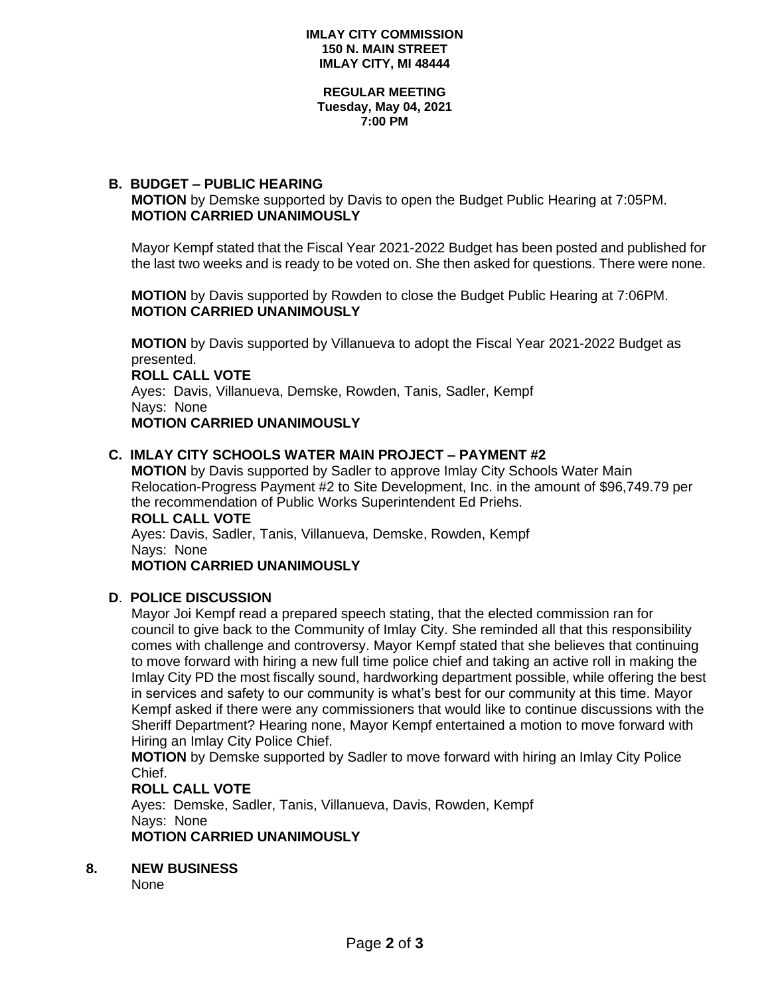#### **REGULAR MEETING Tuesday, May 04, 2021 7:00 PM**

## **B. BUDGET – PUBLIC HEARING**

**MOTION** by Demske supported by Davis to open the Budget Public Hearing at 7:05PM. **MOTION CARRIED UNANIMOUSLY**

Mayor Kempf stated that the Fiscal Year 2021-2022 Budget has been posted and published for the last two weeks and is ready to be voted on. She then asked for questions. There were none.

**MOTION** by Davis supported by Rowden to close the Budget Public Hearing at 7:06PM. **MOTION CARRIED UNANIMOUSLY**

**MOTION** by Davis supported by Villanueva to adopt the Fiscal Year 2021-2022 Budget as presented.

**ROLL CALL VOTE**

Ayes: Davis, Villanueva, Demske, Rowden, Tanis, Sadler, Kempf Nays: None

**MOTION CARRIED UNANIMOUSLY**

#### **C. IMLAY CITY SCHOOLS WATER MAIN PROJECT – PAYMENT #2**

**MOTION** by Davis supported by Sadler to approve Imlay City Schools Water Main Relocation-Progress Payment #2 to Site Development, Inc. in the amount of \$96,749.79 per the recommendation of Public Works Superintendent Ed Priehs. **ROLL CALL VOTE**

Ayes: Davis, Sadler, Tanis, Villanueva, Demske, Rowden, Kempf Nays: None

**MOTION CARRIED UNANIMOUSLY**

#### **D**. **POLICE DISCUSSION**

Mayor Joi Kempf read a prepared speech stating, that the elected commission ran for council to give back to the Community of Imlay City. She reminded all that this responsibility comes with challenge and controversy. Mayor Kempf stated that she believes that continuing to move forward with hiring a new full time police chief and taking an active roll in making the Imlay City PD the most fiscally sound, hardworking department possible, while offering the best in services and safety to our community is what's best for our community at this time. Mayor Kempf asked if there were any commissioners that would like to continue discussions with the Sheriff Department? Hearing none, Mayor Kempf entertained a motion to move forward with Hiring an Imlay City Police Chief.

**MOTION** by Demske supported by Sadler to move forward with hiring an Imlay City Police Chief.

#### **ROLL CALL VOTE**

Ayes: Demske, Sadler, Tanis, Villanueva, Davis, Rowden, Kempf Nays: None **MOTION CARRIED UNANIMOUSLY**

- **8. NEW BUSINESS**
	- None